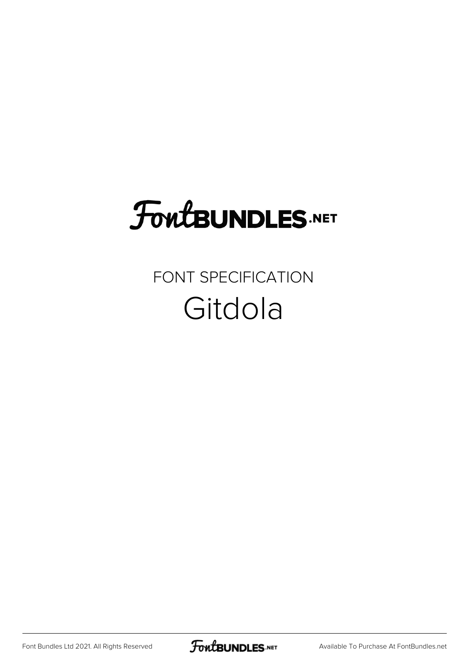# **FoutBUNDLES.NET**

## FONT SPECIFICATION Gitdola

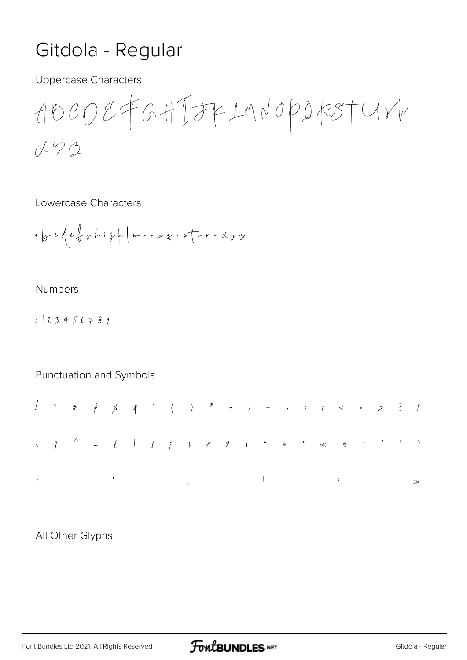### Gitdola - Regular

**Uppercase Characters** 

ADCDEFGHTJFLMNOPDRSTUYK  $0493$ 

#### Lowercase Characters

#### **Numbers**

 $0 | 23456789$ 

#### Punctuation and Symbols



#### All Other Glyphs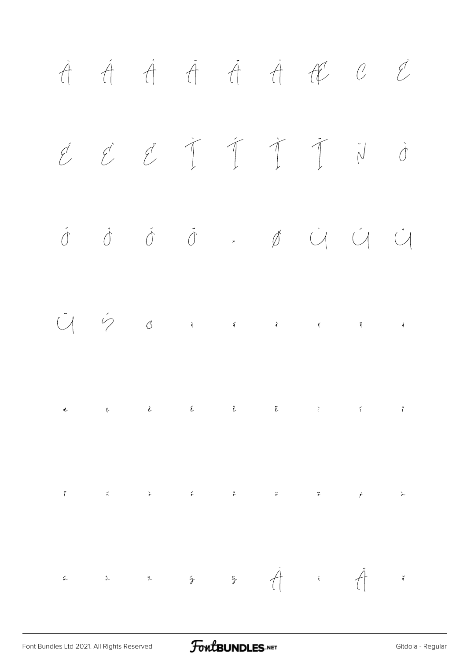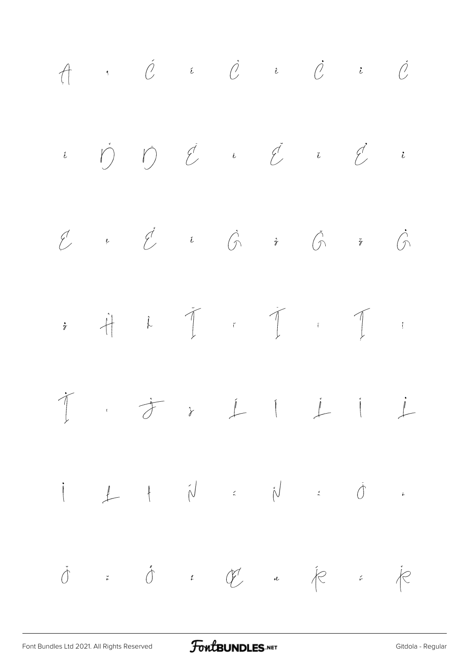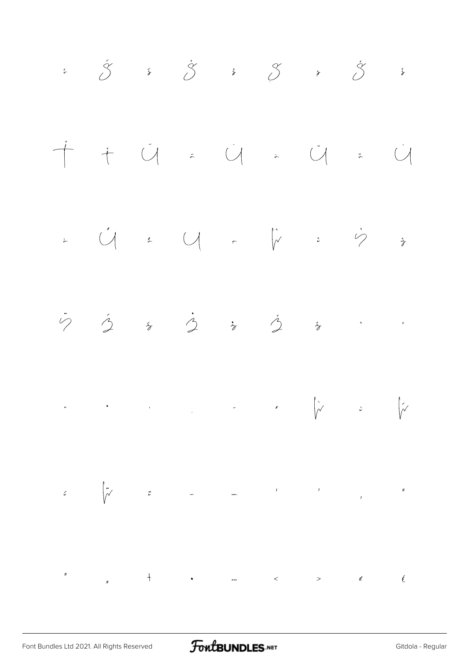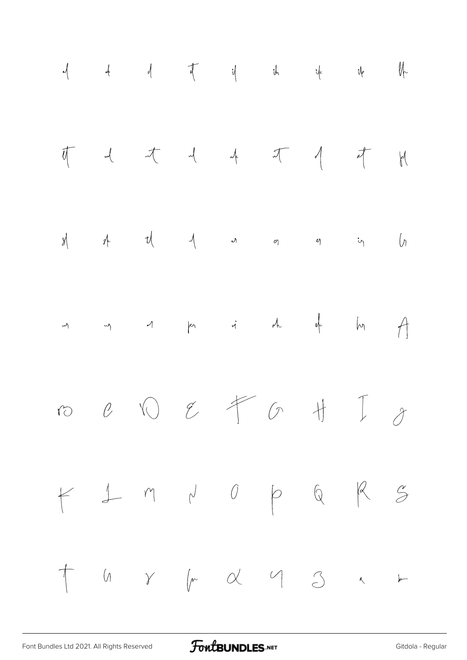